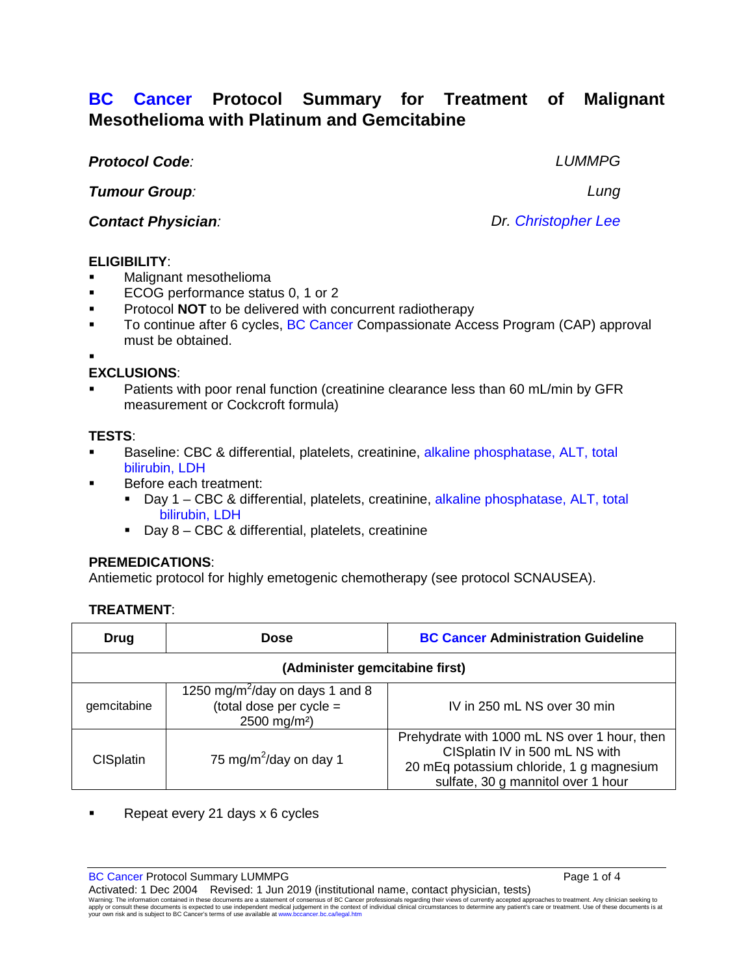# **BC Cancer Protocol Summary for Treatment of Malignant Mesothelioma with Platinum and Gemcitabine**

*Protocol Code: LUMMPG*

*Tumour Group: Lung*

*Contact Physician: Dr. Christopher Lee*

### **ELIGIBILITY**:

- Malignant mesothelioma
- ECOG performance status 0, 1 or 2
- **Protocol NOT** to be delivered with concurrent radiotherapy
- To continue after 6 cycles, BC Cancer Compassionate Access Program (CAP) approval must be obtained.

.

## **EXCLUSIONS**:

 Patients with poor renal function (creatinine clearance less than 60 mL/min by GFR measurement or Cockcroft formula)

### **TESTS**:

- Baseline: CBC & differential, platelets, creatinine, alkaline phosphatase, ALT, total bilirubin, LDH
	- Before each treatment:
		- Day 1 CBC & differential, platelets, creatinine, alkaline phosphatase, ALT, total bilirubin, LDH
		- Day 8 CBC & differential, platelets, creatinine

### **PREMEDICATIONS**:

Antiemetic protocol for highly emetogenic chemotherapy (see protocol SCNAUSEA).

### **TREATMENT**:

| Drug                           | <b>Dose</b>                                                                                        | <b>BC Cancer Administration Guideline</b>                                                                                                                        |  |  |
|--------------------------------|----------------------------------------------------------------------------------------------------|------------------------------------------------------------------------------------------------------------------------------------------------------------------|--|--|
| (Administer gemcitabine first) |                                                                                                    |                                                                                                                                                                  |  |  |
| gemcitabine                    | 1250 mg/m <sup>2</sup> /day on days 1 and 8<br>(total dose per cycle =<br>2500 mg/m <sup>2</sup> ) | IV in 250 mL NS over 30 min                                                                                                                                      |  |  |
| <b>CISplatin</b>               | 75 mg/m <sup>2</sup> /day on day 1                                                                 | Prehydrate with 1000 mL NS over 1 hour, then<br>CISplatin IV in 500 mL NS with<br>20 mEq potassium chloride, 1 g magnesium<br>sulfate, 30 g mannitol over 1 hour |  |  |

Repeat every 21 days x 6 cycles

BC Cancer Protocol Summary LUMMPG **Page 1 of 4** and 2008 **Page 1 of 4** and 2008 **Page 1 of 4** 

Activated: 1 Dec 2004 Revised: 1 Jun 2019 (institutional name, contact physician, tests) Warning: The information contained in these documents are a statement of consensus of BC Cancer professionals regarding their views of currently accepted approaches to treatment. Any clinician seeking to<br>apply or consult t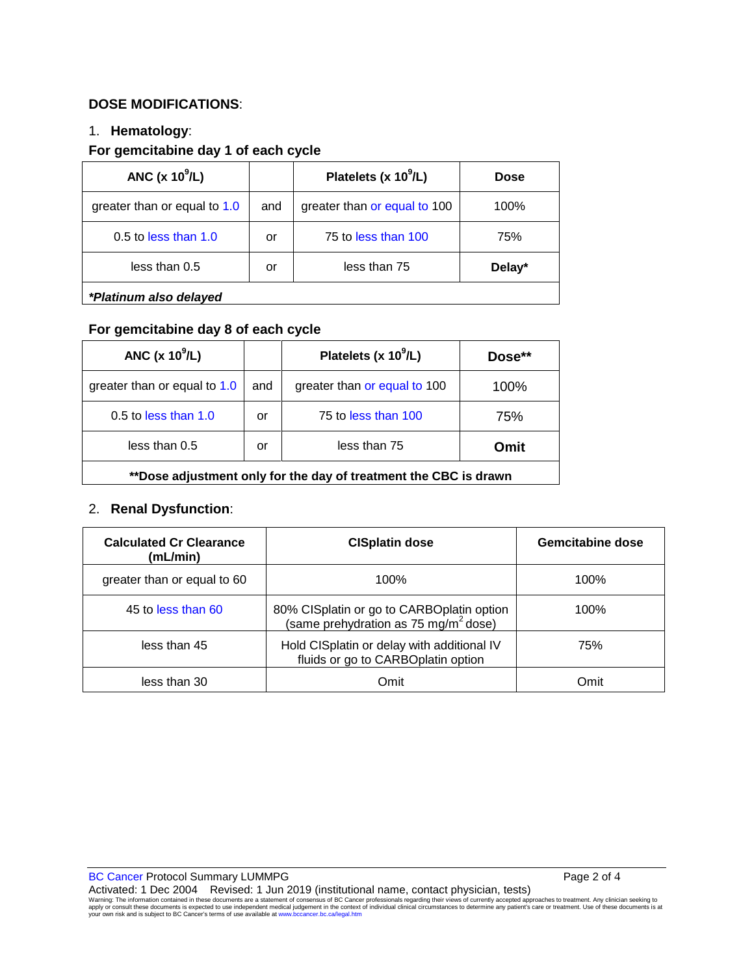### **DOSE MODIFICATIONS**:

#### 1. **Hematology**:

#### **For gemcitabine day 1 of each cycle**

| ANC $(x 10^9/L)$             |     | Platelets (x $10^9$ /L)      | <b>Dose</b> |
|------------------------------|-----|------------------------------|-------------|
| greater than or equal to 1.0 | and | greater than or equal to 100 | 100%        |
| $0.5$ to less than $1.0$     | or  | 75 to less than 100          | 75%         |
| less than 0.5                | or  | less than 75                 | Delay*      |
| *Platinum also delayed       |     |                              |             |

### **For gemcitabine day 8 of each cycle**

| ANC $(x 10^9/L)$                                                 |     | Platelets (x $10^9$ /L)      | Dose** |
|------------------------------------------------------------------|-----|------------------------------|--------|
| greater than or equal to 1.0                                     | and | greater than or equal to 100 | 100%   |
| $0.5$ to less than 1.0                                           | or  | 75 to less than 100          | 75%    |
| less than 0.5<br>less than 75<br>Omit<br>or                      |     |                              |        |
| **Dose adjustment only for the day of treatment the CBC is drawn |     |                              |        |

### 2. **Renal Dysfunction**:

| <b>Calculated Cr Clearance</b><br>(mL/min) | <b>CISplatin dose</b>                                                                         | Gemcitabine dose |
|--------------------------------------------|-----------------------------------------------------------------------------------------------|------------------|
| greater than or equal to 60                | 100%                                                                                          | 100%             |
| 45 to less than 60                         | 80% CISplatin or go to CARBOplatin option<br>(same prehydration as 75 mg/m <sup>2</sup> dose) | 100%             |
| less than 45                               | Hold CISplatin or delay with additional IV<br>fluids or go to CARBOplatin option              | 75%              |
| less than 30                               | Omit                                                                                          | Omit             |

BC Cancer Protocol Summary LUMMPG **Page 2 of 4** and 2 of 4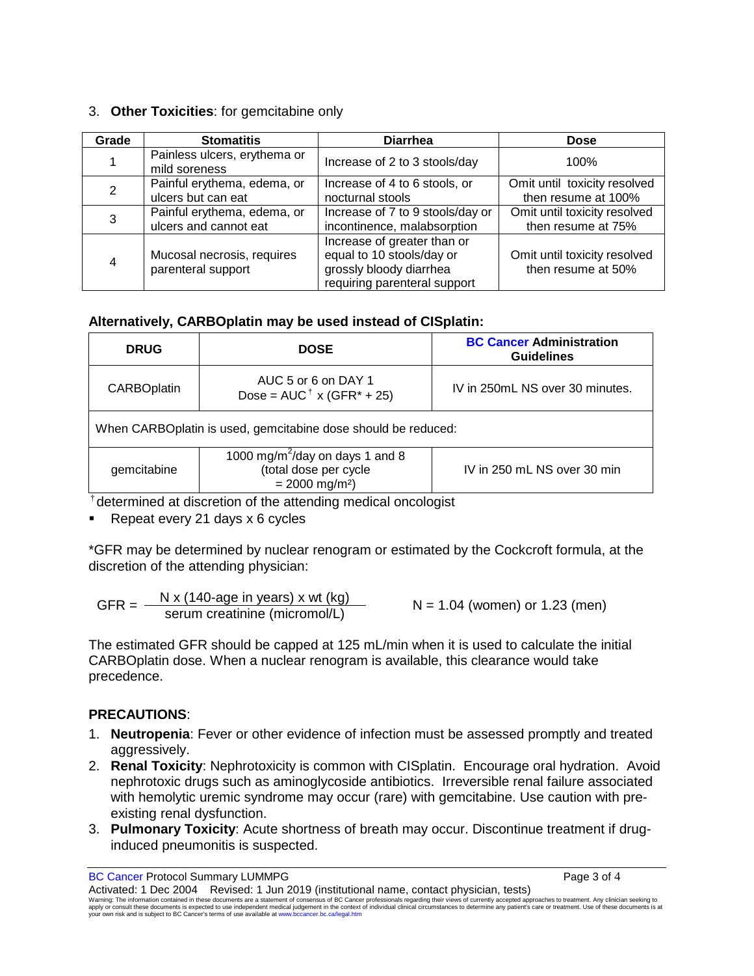### 3. **Other Toxicities**: for gemcitabine only

| Grade | <b>Stomatitis</b>                                    | <b>Diarrhea</b>                                                                                                     | <b>Dose</b>                                         |
|-------|------------------------------------------------------|---------------------------------------------------------------------------------------------------------------------|-----------------------------------------------------|
|       | Painless ulcers, erythema or<br>mild soreness        | Increase of 2 to 3 stools/day                                                                                       | 100%                                                |
| 2     | Painful erythema, edema, or<br>ulcers but can eat    | Increase of 4 to 6 stools, or<br>nocturnal stools                                                                   | Omit until toxicity resolved<br>then resume at 100% |
| 3     | Painful erythema, edema, or<br>ulcers and cannot eat | Increase of 7 to 9 stools/day or<br>incontinence, malabsorption                                                     | Omit until toxicity resolved<br>then resume at 75%  |
|       | Mucosal necrosis, requires<br>parenteral support     | Increase of greater than or<br>equal to 10 stools/day or<br>grossly bloody diarrhea<br>requiring parenteral support | Omit until toxicity resolved<br>then resume at 50%  |

### **Alternatively, CARBOplatin may be used instead of CISplatin:**

| <b>DRUG</b>                                                                                                         | <b>DOSE</b>                                                             | <b>BC Cancer Administration</b><br><b>Guidelines</b> |  |  |
|---------------------------------------------------------------------------------------------------------------------|-------------------------------------------------------------------------|------------------------------------------------------|--|--|
| <b>CARBOplatin</b>                                                                                                  | AUC 5 or 6 on DAY 1<br>Dose = $AUC^{\dagger}$ x (GFR <sup>*</sup> + 25) | IV in 250mL NS over 30 minutes.                      |  |  |
| When CARBOplatin is used, gemcitabine dose should be reduced:                                                       |                                                                         |                                                      |  |  |
| 1000 mg/m <sup>2</sup> /day on days 1 and 8<br>(total dose per cycle<br>gemcitabine<br>$= 2000$ mg/m <sup>2</sup> ) |                                                                         | IV in 250 mL NS over 30 min                          |  |  |

†determined at discretion of the attending medical oncologist

Repeat every 21 days x 6 cycles

\*GFR may be determined by nuclear renogram or estimated by the Cockcroft formula, at the discretion of the attending physician:

$$
GFR = \frac{N \times (140 \text{-age in years}) \times wt (kg)}{\text{serum creationine (micromol/L)}}
$$
 N = 1.04 (women) or 1.23 (men)

The estimated GFR should be capped at 125 mL/min when it is used to calculate the initial CARBOplatin dose. When a nuclear renogram is available, this clearance would take precedence.

### **PRECAUTIONS**:

- 1. **Neutropenia**: Fever or other evidence of infection must be assessed promptly and treated aggressively.
- 2. **Renal Toxicity**: Nephrotoxicity is common with CISplatin. Encourage oral hydration. Avoid nephrotoxic drugs such as aminoglycoside antibiotics. Irreversible renal failure associated with hemolytic uremic syndrome may occur (rare) with gemcitabine. Use caution with preexisting renal dysfunction.
- 3. **Pulmonary Toxicity**: Acute shortness of breath may occur. Discontinue treatment if druginduced pneumonitis is suspected.

BC Cancer Protocol Summary LUMMPG **Page 3 of 4**  $\blacksquare$ 

Activated: 1 Dec 2004 Revised: 1 Jun 2019 (institutional name, contact physician, tests) Warning: The information contained in these documents are a statement of consensus of BC Cancer professionals regarding their views of currently accepted approaches to treatment. Any clinician seeking to<br>apply or consult t